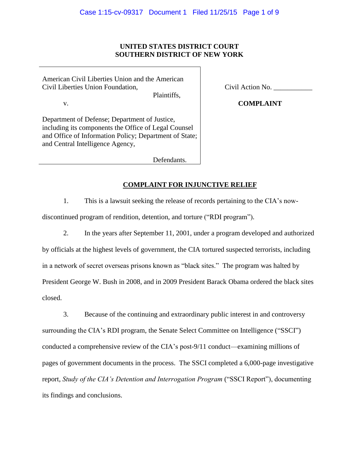## **UNITED STATES DISTRICT COURT SOUTHERN DISTRICT OF NEW YORK**

American Civil Liberties Union and the American Civil Liberties Union Foundation,

Plaintiffs,

v.

Department of Defense; Department of Justice, including its components the Office of Legal Counsel and Office of Information Policy; Department of State; and Central Intelligence Agency,

Civil Action No. \_\_\_\_\_\_\_\_\_\_\_

**COMPLAINT**

Defendants.

# **COMPLAINT FOR INJUNCTIVE RELIEF**

1. This is a lawsuit seeking the release of records pertaining to the CIA's now-

discontinued program of rendition, detention, and torture ("RDI program").

2. In the years after September 11, 2001, under a program developed and authorized by officials at the highest levels of government, the CIA tortured suspected terrorists, including in a network of secret overseas prisons known as "black sites." The program was halted by President George W. Bush in 2008, and in 2009 President Barack Obama ordered the black sites closed.

3. Because of the continuing and extraordinary public interest in and controversy surrounding the CIA's RDI program, the Senate Select Committee on Intelligence ("SSCI") conducted a comprehensive review of the CIA's post-9/11 conduct—examining millions of pages of government documents in the process. The SSCI completed a 6,000-page investigative report, *Study of the CIA's Detention and Interrogation Program* ("SSCI Report"), documenting its findings and conclusions.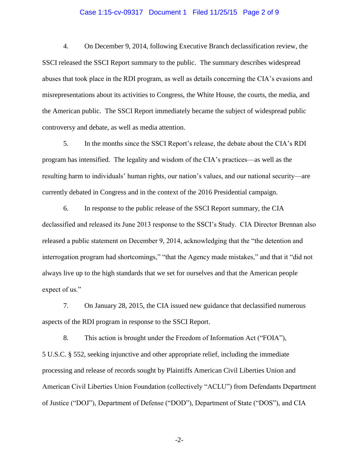### Case 1:15-cv-09317 Document 1 Filed 11/25/15 Page 2 of 9

4. On December 9, 2014, following Executive Branch declassification review, the SSCI released the SSCI Report summary to the public. The summary describes widespread abuses that took place in the RDI program, as well as details concerning the CIA's evasions and misrepresentations about its activities to Congress, the White House, the courts, the media, and the American public. The SSCI Report immediately became the subject of widespread public controversy and debate, as well as media attention.

5. In the months since the SSCI Report's release, the debate about the CIA's RDI program has intensified. The legality and wisdom of the CIA's practices—as well as the resulting harm to individuals' human rights, our nation's values, and our national security—are currently debated in Congress and in the context of the 2016 Presidential campaign.

6. In response to the public release of the SSCI Report summary, the CIA declassified and released its June 2013 response to the SSCI's Study. CIA Director Brennan also released a public statement on December 9, 2014, acknowledging that the "the detention and interrogation program had shortcomings," "that the Agency made mistakes," and that it "did not always live up to the high standards that we set for ourselves and that the American people expect of us."

7. On January 28, 2015, the CIA issued new guidance that declassified numerous aspects of the RDI program in response to the SSCI Report.

8. This action is brought under the Freedom of Information Act ("FOIA"), 5 U.S.C. § 552, seeking injunctive and other appropriate relief, including the immediate processing and release of records sought by Plaintiffs American Civil Liberties Union and American Civil Liberties Union Foundation (collectively "ACLU") from Defendants Department of Justice ("DOJ"), Department of Defense ("DOD"), Department of State ("DOS"), and CIA

-2-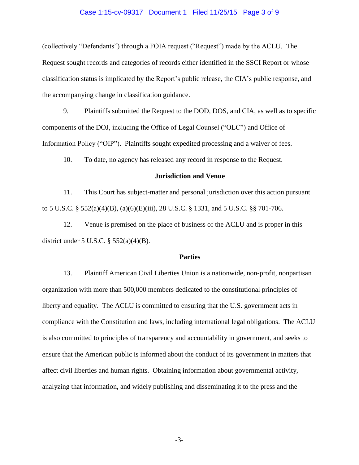### Case 1:15-cv-09317 Document 1 Filed 11/25/15 Page 3 of 9

(collectively "Defendants") through a FOIA request ("Request") made by the ACLU. The Request sought records and categories of records either identified in the SSCI Report or whose classification status is implicated by the Report's public release, the CIA's public response, and the accompanying change in classification guidance.

9. Plaintiffs submitted the Request to the DOD, DOS, and CIA, as well as to specific components of the DOJ, including the Office of Legal Counsel ("OLC") and Office of Information Policy ("OIP"). Plaintiffs sought expedited processing and a waiver of fees.

10. To date, no agency has released any record in response to the Request.

### **Jurisdiction and Venue**

11. This Court has subject-matter and personal jurisdiction over this action pursuant to 5 U.S.C. § 552(a)(4)(B), (a)(6)(E)(iii), 28 U.S.C. § 1331, and 5 U.S.C. §§ 701-706.

12. Venue is premised on the place of business of the ACLU and is proper in this district under 5 U.S.C. § 552(a)(4)(B).

### **Parties**

13. Plaintiff American Civil Liberties Union is a nationwide, non-profit, nonpartisan organization with more than 500,000 members dedicated to the constitutional principles of liberty and equality. The ACLU is committed to ensuring that the U.S. government acts in compliance with the Constitution and laws, including international legal obligations. The ACLU is also committed to principles of transparency and accountability in government, and seeks to ensure that the American public is informed about the conduct of its government in matters that affect civil liberties and human rights. Obtaining information about governmental activity, analyzing that information, and widely publishing and disseminating it to the press and the

-3-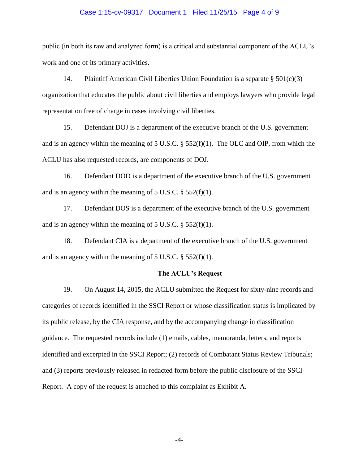### Case 1:15-cv-09317 Document 1 Filed 11/25/15 Page 4 of 9

public (in both its raw and analyzed form) is a critical and substantial component of the ACLU's work and one of its primary activities.

14. Plaintiff American Civil Liberties Union Foundation is a separate  $\S 501(c)(3)$ organization that educates the public about civil liberties and employs lawyers who provide legal representation free of charge in cases involving civil liberties.

15. Defendant DOJ is a department of the executive branch of the U.S. government and is an agency within the meaning of 5 U.S.C. § 552(f)(1). The OLC and OIP, from which the ACLU has also requested records, are components of DOJ.

16. Defendant DOD is a department of the executive branch of the U.S. government and is an agency within the meaning of  $5 \text{ U.S.C.}$  §  $552(f)(1)$ .

17. Defendant DOS is a department of the executive branch of the U.S. government and is an agency within the meaning of  $5 \text{ U.S.C.}$  §  $552(f)(1)$ .

18. Defendant CIA is a department of the executive branch of the U.S. government and is an agency within the meaning of 5 U.S.C. § 552(f)(1).

### **The ACLU's Request**

19. On August 14, 2015, the ACLU submitted the Request for sixty-nine records and categories of records identified in the SSCI Report or whose classification status is implicated by its public release, by the CIA response, and by the accompanying change in classification guidance. The requested records include (1) emails, cables, memoranda, letters, and reports identified and excerpted in the SSCI Report; (2) records of Combatant Status Review Tribunals; and (3) reports previously released in redacted form before the public disclosure of the SSCI Report. A copy of the request is attached to this complaint as Exhibit A.

-4-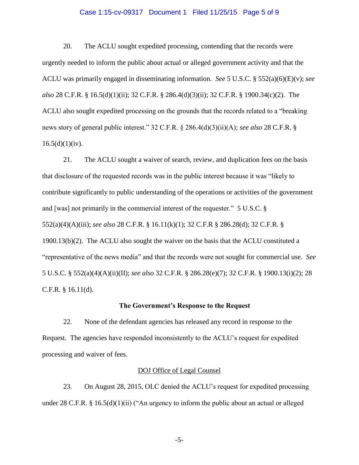#### Case 1:15-cv-09317 Document 1 Filed 11/25/15 Page 5 of 9

20. The ACLU sought expedited processing, contending that the records were urgently needed to inform the public about actual or alleged government activity and that the ACLU was primarily engaged in disseminating information. *See* 5 U.S.C. § 552(a)(6)(E)(v); *see also* 28 C.F.R. § 16.5(d)(1)(ii); 32 C.F.R. § 286.4(d)(3)(ii); 32 C.F.R. § 1900.34(c)(2). The ACLU also sought expedited processing on the grounds that the records related to a "breaking news story of general public interest." 32 C.F.R. § 286.4(d)(3)(ii)(A); *see also* 28 C.F.R. §  $16.5(d)(1)(iv)$ .

21. The ACLU sought a waiver of search, review, and duplication fees on the basis that disclosure of the requested records was in the public interest because it was "likely to contribute significantly to public understanding of the operations or activities of the government and [was] not primarily in the commercial interest of the requester." 5 U.S.C. § 552(a)(4)(A)(iii); *see also* 28 C.F.R. § 16.11(k)(1); 32 C.F.R § 286.28(d); 32 C.F.R. § 1900.13(b)(2). The ACLU also sought the waiver on the basis that the ACLU constituted a "representative of the news media" and that the records were not sought for commercial use. *See*  5 U.S.C. § 552(a)(4)(A)(ii)(II); *see also* 32 C.F.R. § 286.28(e)(7); 32 C.F.R. § 1900.13(i)(2); 28 C.F.R. § 16.11(d).

### **The Government's Response to the Request**

22. None of the defendant agencies has released any record in response to the Request. The agencies have responded inconsistently to the ACLU's request for expedited processing and waiver of fees.

### DOJ Office of Legal Counsel

23. On August 28, 2015, OLC denied the ACLU's request for expedited processing under 28 C.F.R. § 16.5(d)(1)(ii) ("An urgency to inform the public about an actual or alleged

-5-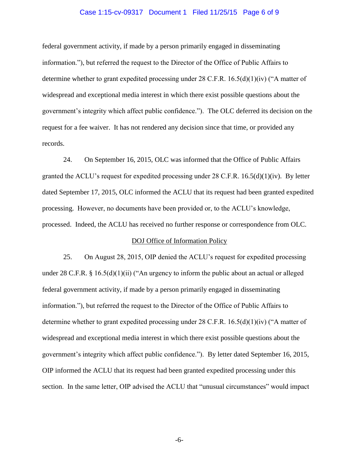### Case 1:15-cv-09317 Document 1 Filed 11/25/15 Page 6 of 9

federal government activity, if made by a person primarily engaged in disseminating information."), but referred the request to the Director of the Office of Public Affairs to determine whether to grant expedited processing under 28 C.F.R.  $16.5(d)(1)(iv)$  ("A matter of widespread and exceptional media interest in which there exist possible questions about the government's integrity which affect public confidence."). The OLC deferred its decision on the request for a fee waiver. It has not rendered any decision since that time, or provided any records.

24. On September 16, 2015, OLC was informed that the Office of Public Affairs granted the ACLU's request for expedited processing under 28 C.F.R.  $16.5(d)(1)(iv)$ . By letter dated September 17, 2015, OLC informed the ACLU that its request had been granted expedited processing. However, no documents have been provided or, to the ACLU's knowledge, processed. Indeed, the ACLU has received no further response or correspondence from OLC.

### DOJ Office of Information Policy

25. On August 28, 2015, OIP denied the ACLU's request for expedited processing under 28 C.F.R. § 16.5(d)(1)(ii) ("An urgency to inform the public about an actual or alleged federal government activity, if made by a person primarily engaged in disseminating information."), but referred the request to the Director of the Office of Public Affairs to determine whether to grant expedited processing under 28 C.F.R. 16.5(d)(1)(iv) ("A matter of widespread and exceptional media interest in which there exist possible questions about the government's integrity which affect public confidence."). By letter dated September 16, 2015, OIP informed the ACLU that its request had been granted expedited processing under this section. In the same letter, OIP advised the ACLU that "unusual circumstances" would impact

-6-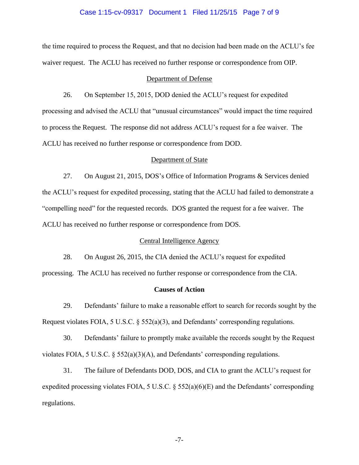### Case 1:15-cv-09317 Document 1 Filed 11/25/15 Page 7 of 9

the time required to process the Request, and that no decision had been made on the ACLU's fee waiver request. The ACLU has received no further response or correspondence from OIP.

### Department of Defense

26. On September 15, 2015, DOD denied the ACLU's request for expedited processing and advised the ACLU that "unusual circumstances" would impact the time required to process the Request. The response did not address ACLU's request for a fee waiver. The ACLU has received no further response or correspondence from DOD.

### Department of State

27. On August 21, 2015, DOS's Office of Information Programs & Services denied the ACLU's request for expedited processing, stating that the ACLU had failed to demonstrate a "compelling need" for the requested records. DOS granted the request for a fee waiver. The ACLU has received no further response or correspondence from DOS.

## Central Intelligence Agency

28. On August 26, 2015, the CIA denied the ACLU's request for expedited

processing. The ACLU has received no further response or correspondence from the CIA.

### **Causes of Action**

29. Defendants' failure to make a reasonable effort to search for records sought by the Request violates FOIA, 5 U.S.C. § 552(a)(3), and Defendants' corresponding regulations.

30. Defendants' failure to promptly make available the records sought by the Request violates FOIA, 5 U.S.C. § 552(a)(3)(A), and Defendants' corresponding regulations.

31. The failure of Defendants DOD, DOS, and CIA to grant the ACLU's request for expedited processing violates FOIA, 5 U.S.C. § 552(a)(6)(E) and the Defendants' corresponding regulations.

-7-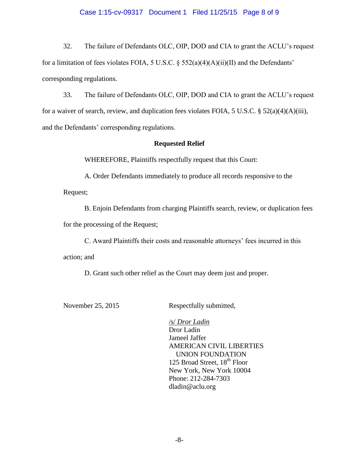### Case 1:15-cv-09317 Document 1 Filed 11/25/15 Page 8 of 9

32. The failure of Defendants OLC, OIP, DOD and CIA to grant the ACLU's request for a limitation of fees violates FOIA, 5 U.S.C.  $\S$  552(a)(4)(A)(ii)(II) and the Defendants' corresponding regulations.

33. The failure of Defendants OLC, OIP, DOD and CIA to grant the ACLU's request for a waiver of search, review, and duplication fees violates FOIA, 5 U.S.C. § 52(a)(4)(A)(iii), and the Defendants' corresponding regulations.

# **Requested Relief**

WHEREFORE, Plaintiffs respectfully request that this Court:

A. Order Defendants immediately to produce all records responsive to the

Request;

B. Enjoin Defendants from charging Plaintiffs search, review, or duplication fees

for the processing of the Request;

C. Award Plaintiffs their costs and reasonable attorneys' fees incurred in this

action; and

D. Grant such other relief as the Court may deem just and proper.

November 25, 2015 Respectfully submitted,

/s/ *Dror Ladin* Dror Ladin Jameel Jaffer AMERICAN CIVIL LIBERTIES UNION FOUNDATION 125 Broad Street, 18<sup>th</sup> Floor New York, New York 10004 Phone: 212-284-7303 dladin@aclu.org